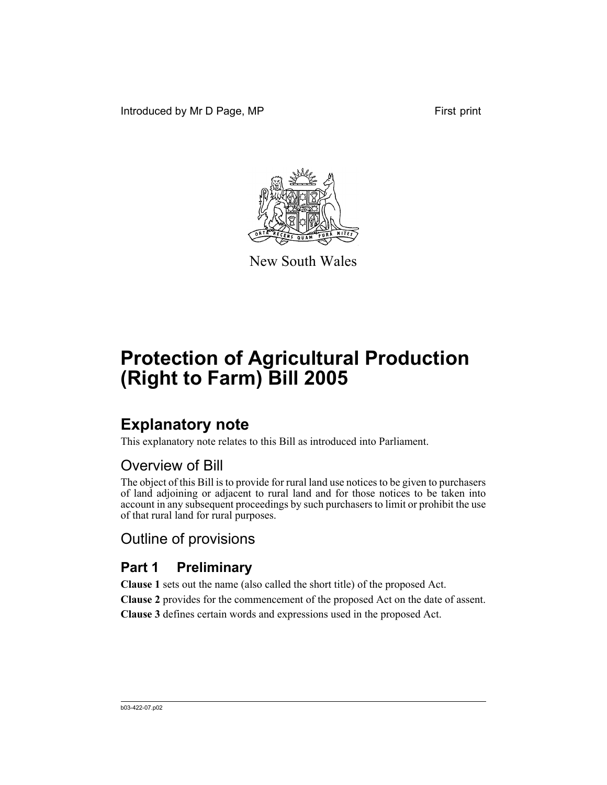Introduced by Mr D Page, MP First print



New South Wales

# **Protection of Agricultural Production (Right to Farm) Bill 2005**

# **Explanatory note**

This explanatory note relates to this Bill as introduced into Parliament.

## Overview of Bill

The object of this Bill is to provide for rural land use notices to be given to purchasers of land adjoining or adjacent to rural land and for those notices to be taken into account in any subsequent proceedings by such purchasers to limit or prohibit the use of that rural land for rural purposes.

## Outline of provisions

### **Part 1 Preliminary**

**Clause 1** sets out the name (also called the short title) of the proposed Act. **Clause 2** provides for the commencement of the proposed Act on the date of assent. **Clause 3** defines certain words and expressions used in the proposed Act.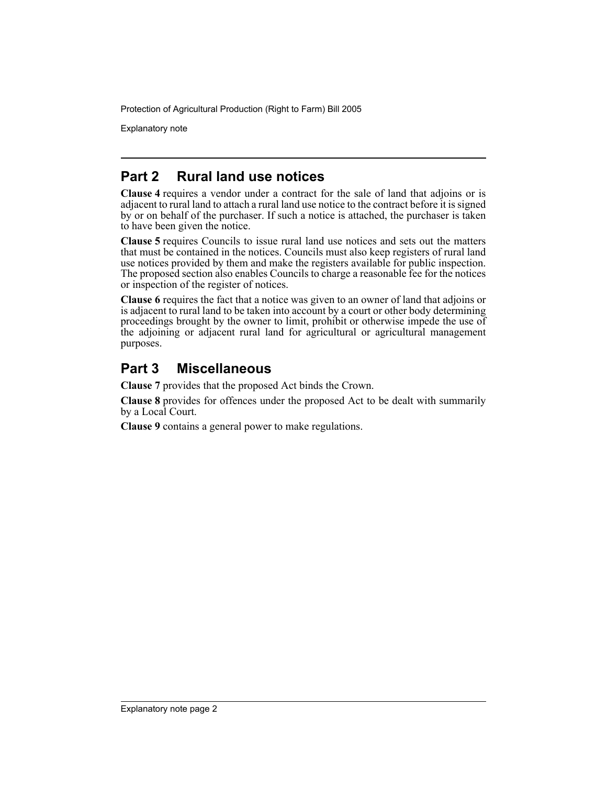Protection of Agricultural Production (Right to Farm) Bill 2005

Explanatory note

### **Part 2 Rural land use notices**

**Clause 4** requires a vendor under a contract for the sale of land that adjoins or is adjacent to rural land to attach a rural land use notice to the contract before it is signed by or on behalf of the purchaser. If such a notice is attached, the purchaser is taken to have been given the notice.

**Clause 5** requires Councils to issue rural land use notices and sets out the matters that must be contained in the notices. Councils must also keep registers of rural land use notices provided by them and make the registers available for public inspection. The proposed section also enables Councils to charge a reasonable fee for the notices or inspection of the register of notices.

**Clause 6** requires the fact that a notice was given to an owner of land that adjoins or is adjacent to rural land to be taken into account by a court or other body determining proceedings brought by the owner to limit, prohibit or otherwise impede the use of the adjoining or adjacent rural land for agricultural or agricultural management purposes.

### **Part 3 Miscellaneous**

**Clause 7** provides that the proposed Act binds the Crown.

**Clause 8** provides for offences under the proposed Act to be dealt with summarily by a Local Court.

**Clause 9** contains a general power to make regulations.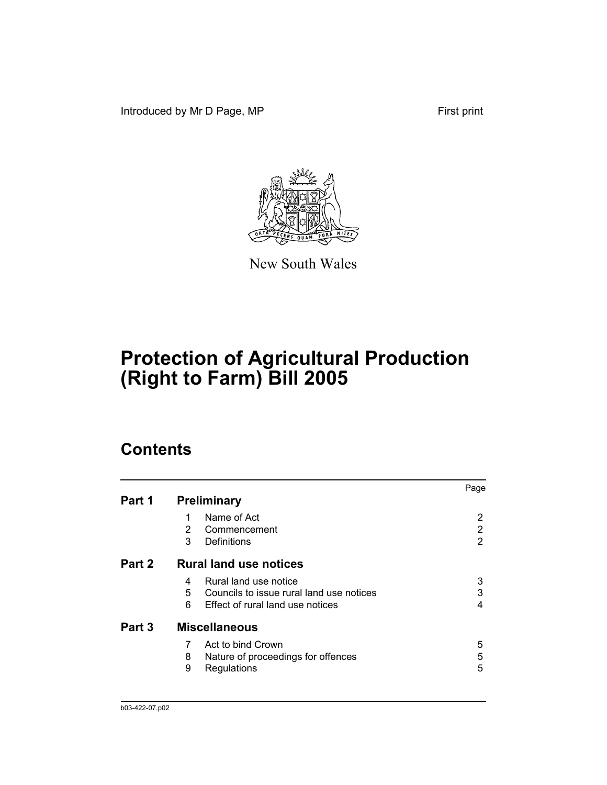Introduced by Mr D Page, MP First print



New South Wales

# **Protection of Agricultural Production (Right to Farm) Bill 2005**

## **Contents**

| Part 1 | <b>Preliminary</b>                                                                                                   | Page        |
|--------|----------------------------------------------------------------------------------------------------------------------|-------------|
|        | Name of Act<br>2<br>Commencement<br>3<br>Definitions                                                                 | 2<br>2<br>2 |
| Part 2 | <b>Rural land use notices</b>                                                                                        |             |
|        | Rural land use notice<br>4<br>5<br>Councils to issue rural land use notices<br>6<br>Effect of rural land use notices | 3<br>3<br>4 |
| Part 3 | <b>Miscellaneous</b>                                                                                                 |             |
|        | Act to bind Crown<br>7<br>Nature of proceedings for offences<br>8<br>9<br>Regulations                                | 5<br>5<br>5 |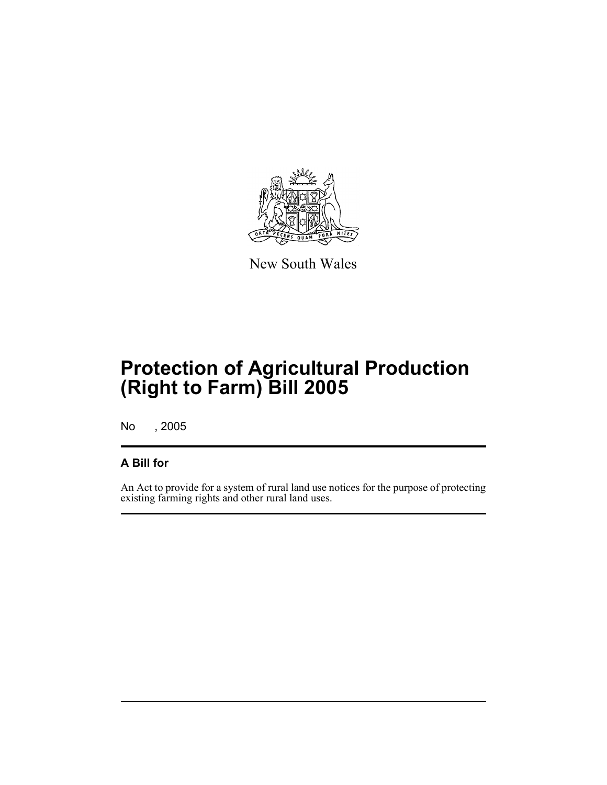

New South Wales

# **Protection of Agricultural Production (Right to Farm) Bill 2005**

No , 2005

### **A Bill for**

An Act to provide for a system of rural land use notices for the purpose of protecting existing farming rights and other rural land uses.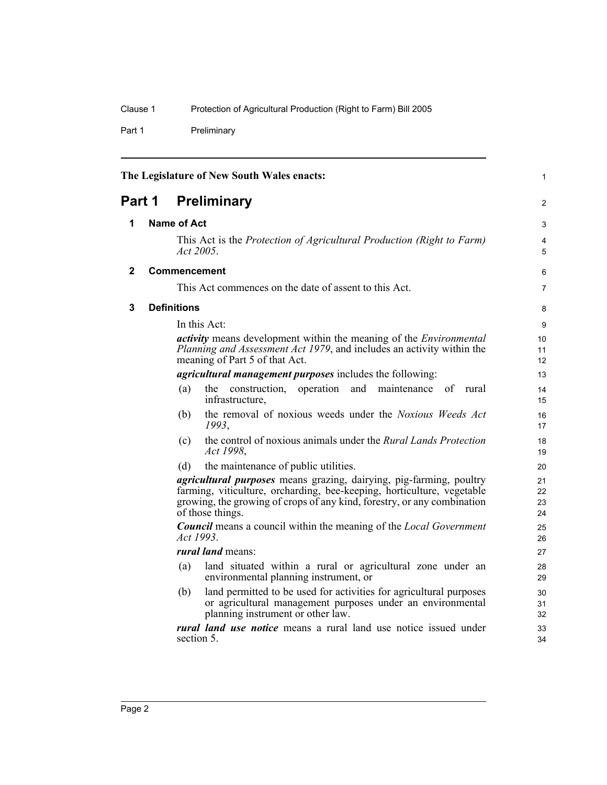Part 1 Preliminary

|             |                    | The Legislature of New South Wales enacts:                                                                                                                                                                                                   | $\mathbf{1}$         |
|-------------|--------------------|----------------------------------------------------------------------------------------------------------------------------------------------------------------------------------------------------------------------------------------------|----------------------|
| Part 1      |                    | <b>Preliminary</b>                                                                                                                                                                                                                           | $\overline{2}$       |
| 1           | <b>Name of Act</b> |                                                                                                                                                                                                                                              | 3                    |
|             |                    | This Act is the <i>Protection of Agricultural Production (Right to Farm)</i><br>Act 2005.                                                                                                                                                    | 4<br>5               |
| $\mathbf 2$ |                    | <b>Commencement</b>                                                                                                                                                                                                                          | 6                    |
|             |                    | This Act commences on the date of assent to this Act.                                                                                                                                                                                        | $\overline{7}$       |
| 3           | <b>Definitions</b> |                                                                                                                                                                                                                                              | 8                    |
|             |                    | In this Act:                                                                                                                                                                                                                                 | 9                    |
|             |                    | <i>activity</i> means development within the meaning of the <i>Environmental</i><br>Planning and Assessment Act 1979, and includes an activity within the<br>meaning of Part 5 of that Act.                                                  | 10<br>11<br>12       |
|             |                    | <i>agricultural management purposes</i> includes the following:                                                                                                                                                                              | 13                   |
|             | (a)                | the construction,<br>operation<br>and<br>maintenance of rural<br>infrastructure,                                                                                                                                                             | 14<br>15             |
|             | (b)                | the removal of noxious weeds under the Noxious Weeds Act<br>1993,                                                                                                                                                                            | 16<br>17             |
|             | (c)                | the control of noxious animals under the <i>Rural Lands Protection</i><br>Act 1998,                                                                                                                                                          | 18<br>19             |
|             | (d)                | the maintenance of public utilities.                                                                                                                                                                                                         | 20                   |
|             |                    | agricultural purposes means grazing, dairying, pig-farming, poultry<br>farming, viticulture, orcharding, bee-keeping, horticulture, vegetable<br>growing, the growing of crops of any kind, forestry, or any combination<br>of those things. | 21<br>22<br>23<br>24 |
|             |                    | <b>Council</b> means a council within the meaning of the <i>Local Government</i><br>Act 1993.                                                                                                                                                | 25<br>26             |
|             |                    | rural land means:                                                                                                                                                                                                                            | 27                   |
|             | (a)                | land situated within a rural or agricultural zone under an<br>environmental planning instrument, or                                                                                                                                          | 28<br>29             |
|             | (b)                | land permitted to be used for activities for agricultural purposes<br>or agricultural management purposes under an environmental<br>planning instrument or other law.                                                                        | 30<br>31<br>32       |
|             |                    | <i>rural land use notice</i> means a rural land use notice issued under<br>section 5.                                                                                                                                                        | 33<br>34             |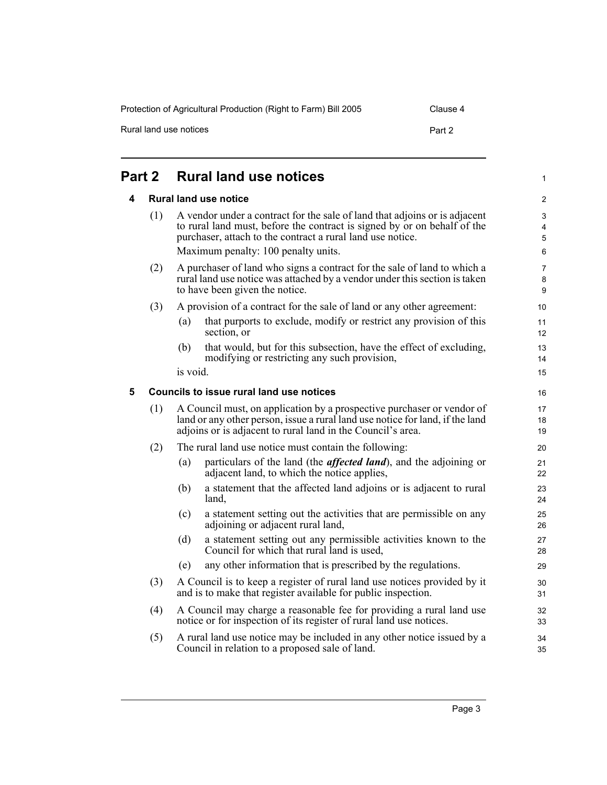Protection of Agricultural Production (Right to Farm) Bill 2005 Clause 4

| Rural land use notices | Part 2 |
|------------------------|--------|
|------------------------|--------|

**Part 2** 

| art 2 |     |                                                                                                                                                                                                                        | <b>Rural land use notices</b>                                                                                                                                                                                                                               | 1                        |
|-------|-----|------------------------------------------------------------------------------------------------------------------------------------------------------------------------------------------------------------------------|-------------------------------------------------------------------------------------------------------------------------------------------------------------------------------------------------------------------------------------------------------------|--------------------------|
| 4     |     |                                                                                                                                                                                                                        | <b>Rural land use notice</b>                                                                                                                                                                                                                                | 2                        |
|       | (1) |                                                                                                                                                                                                                        | A vendor under a contract for the sale of land that adjoins or is adjacent<br>to rural land must, before the contract is signed by or on behalf of the<br>purchaser, attach to the contract a rural land use notice.<br>Maximum penalty: 100 penalty units. | 3<br>4<br>5<br>6         |
|       | (2) |                                                                                                                                                                                                                        | A purchaser of land who signs a contract for the sale of land to which a<br>rural land use notice was attached by a vendor under this section is taken<br>to have been given the notice.                                                                    | $\overline{7}$<br>8<br>9 |
|       | (3) |                                                                                                                                                                                                                        | A provision of a contract for the sale of land or any other agreement:                                                                                                                                                                                      | 10                       |
|       |     | (a)                                                                                                                                                                                                                    | that purports to exclude, modify or restrict any provision of this<br>section, or                                                                                                                                                                           | 11<br>12                 |
|       |     | (b)                                                                                                                                                                                                                    | that would, but for this subsection, have the effect of excluding,<br>modifying or restricting any such provision,                                                                                                                                          | 13<br>14                 |
|       |     | is void.                                                                                                                                                                                                               |                                                                                                                                                                                                                                                             | 15                       |
| 5     |     |                                                                                                                                                                                                                        | Councils to issue rural land use notices                                                                                                                                                                                                                    | 16                       |
|       | (1) | A Council must, on application by a prospective purchaser or vendor of<br>land or any other person, issue a rural land use notice for land, if the land<br>adjoins or is adjacent to rural land in the Council's area. |                                                                                                                                                                                                                                                             | 17<br>18<br>19           |
|       | (2) |                                                                                                                                                                                                                        | The rural land use notice must contain the following:                                                                                                                                                                                                       | 20                       |
|       |     | (a)                                                                                                                                                                                                                    | particulars of the land (the <i>affected land</i> ), and the adjoining or<br>adjacent land, to which the notice applies,                                                                                                                                    | 21<br>22                 |
|       |     | (b)                                                                                                                                                                                                                    | a statement that the affected land adjoins or is adjacent to rural<br>land,                                                                                                                                                                                 | 23<br>24                 |
|       |     | (c)                                                                                                                                                                                                                    | a statement setting out the activities that are permissible on any<br>adjoining or adjacent rural land,                                                                                                                                                     | 25<br>26                 |
|       |     | (d)                                                                                                                                                                                                                    | a statement setting out any permissible activities known to the<br>Council for which that rural land is used,                                                                                                                                               | 27<br>28                 |
|       |     | (e)                                                                                                                                                                                                                    | any other information that is prescribed by the regulations.                                                                                                                                                                                                | 29                       |
|       | (3) |                                                                                                                                                                                                                        | A Council is to keep a register of rural land use notices provided by it<br>and is to make that register available for public inspection.                                                                                                                   | 30<br>31                 |
|       | (4) |                                                                                                                                                                                                                        | A Council may charge a reasonable fee for providing a rural land use<br>notice or for inspection of its register of rural land use notices.                                                                                                                 | 32<br>33                 |

(5) A rural land use notice may be included in any other notice issued by a Council in relation to a proposed sale of land.

34 35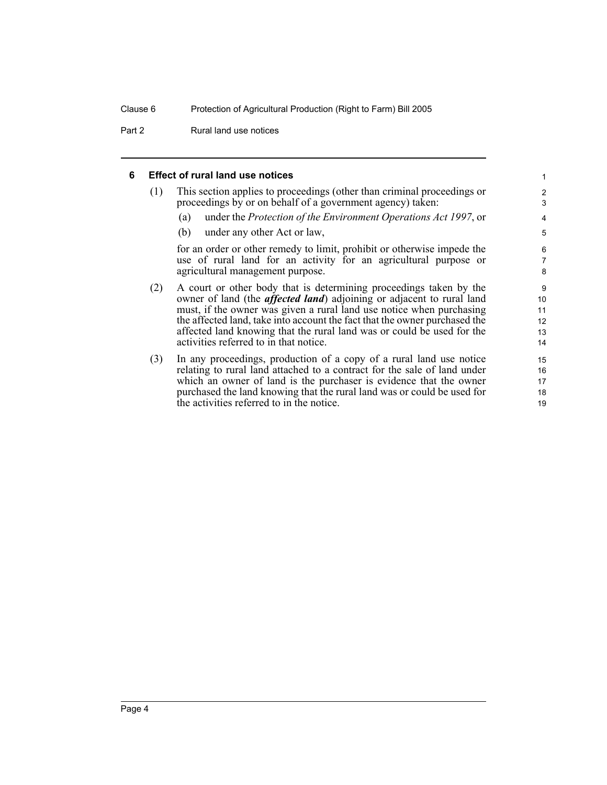Part 2 Rural land use notices

#### **6 Effect of rural land use notices**

| (1) | This section applies to proceedings (other than criminal proceedings or |  |
|-----|-------------------------------------------------------------------------|--|
|     | proceedings by or on behalf of a government agency) taken:              |  |

(a) under the *Protection of the Environment Operations Act 1997*, or

(b) under any other Act or law,

for an order or other remedy to limit, prohibit or otherwise impede the use of rural land for an activity for an agricultural purpose or agricultural management purpose.

- (2) A court or other body that is determining proceedings taken by the owner of land (the *affected land*) adjoining or adjacent to rural land must, if the owner was given a rural land use notice when purchasing the affected land, take into account the fact that the owner purchased the affected land knowing that the rural land was or could be used for the activities referred to in that notice.
- (3) In any proceedings, production of a copy of a rural land use notice relating to rural land attached to a contract for the sale of land under which an owner of land is the purchaser is evidence that the owner purchased the land knowing that the rural land was or could be used for the activities referred to in the notice.